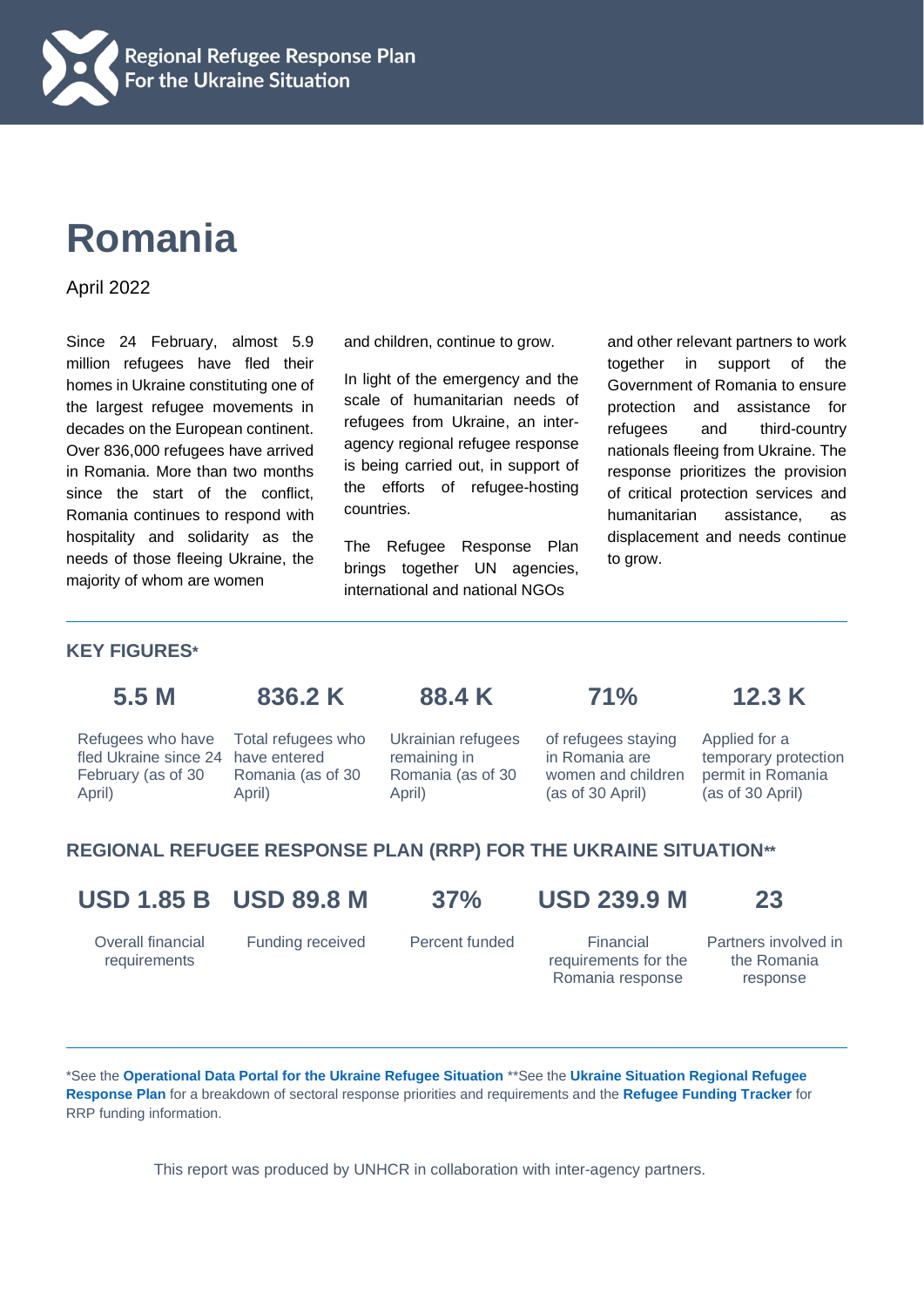

# **Romania**

April 2022

Since 24 February, almost 5.9 million refugees have fled their homes in Ukraine constituting one of the largest refugee movements in decades on the European continent. Over 836,000 refugees have arrived in Romania. More than two months since the start of the conflict, Romania continues to respond with hospitality and solidarity as the needs of those fleeing Ukraine, the majority of whom are women

and children, continue to grow.

In light of the emergency and the scale of humanitarian needs of refugees from Ukraine, an interagency regional refugee response is being carried out, in support of the efforts of refugee-hosting countries.

The Refugee Response Plan brings together UN agencies, international and national NGOs

and other relevant partners to work together in support of the Government of Romania to ensure protection and assistance for refugees and third-country nationals fleeing from Ukraine. The response prioritizes the provision of critical protection services and humanitarian assistance, as displacement and needs continue to grow.

### **KEY FIGURES\***

Refugees who have fled Ukraine since 24 February (as of 30

April)

**5.5 M 836.2 K 88.4 K 71% 12.3 K**

April)

Total refugees who have entered Romania (as of 30

Ukrainian refugees remaining in Romania (as of 30

of refugees staying

in Romania are women and children (as of 30 April) Applied for a temporary protection permit in Romania (as of 30 April)

## **REGIONAL REFUGEE RESPONSE PLAN (RRP) FOR THE UKRAINE SITUATION\*\***

April)

**USD 1.85 B USD 89.8 M 37% USD 239.9 M 23**

requirements for the

Partners involved in the Romania response

Overall financial requirements

Funding received Percent funded Financial

Romania response

\*See the **[Operational Data Portal for the Ukraine Refugee Situation](http://data2.unhcr.org/en/situations/ukraine)** \*\*See the **[Ukraine Situation Regional Refugee](https://data2.unhcr.org/en/documents/details/92257)  [Response Plan](https://data2.unhcr.org/en/documents/details/92257)** for a breakdown of sectoral response priorities and requirements and the **[Refugee Funding Tracker](https://app.powerbi.com/view?r=eyJrIjoiZWE5MTAyYjYtNDZmYi00NGYzLWFkYjEtMzQ5MTAxZDBiZTU1IiwidCI6ImU1YzM3OTgxLTY2NjQtNDEzNC04YTBjLTY1NDNkMmFmODBiZSIsImMiOjh9)** for RRP funding information.

This report was produced by UNHCR in collaboration with inter-agency partners.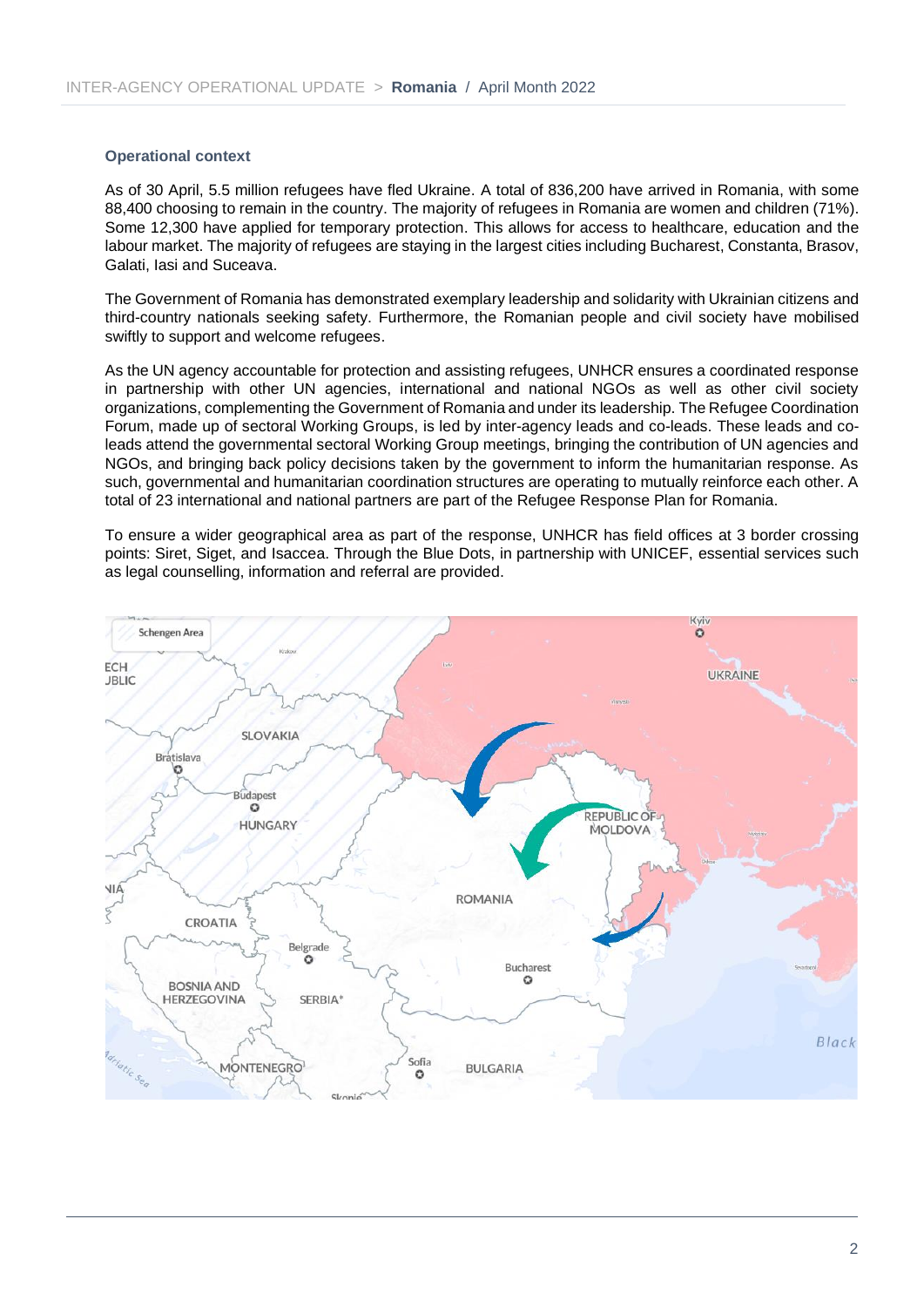#### **Operational context**

As of 30 April, 5.5 million refugees have fled Ukraine. A total of 836,200 have arrived in Romania, with some 88,400 choosing to remain in the country. The majority of refugees in Romania are women and children (71%). Some 12,300 have applied for temporary protection. This allows for access to healthcare, education and the labour market. The majority of refugees are staying in the largest cities including Bucharest, Constanta, Brasov, Galati, Iasi and Suceava.

The Government of Romania has demonstrated exemplary leadership and solidarity with Ukrainian citizens and third-country nationals seeking safety. Furthermore, the Romanian people and civil society have mobilised swiftly to support and welcome refugees.

As the UN agency accountable for protection and assisting refugees, UNHCR ensures a coordinated response in partnership with other UN agencies, international and national NGOs as well as other civil society organizations, complementing the Government of Romania and under its leadership. The Refugee Coordination Forum, made up of sectoral Working Groups, is led by inter-agency leads and co-leads. These leads and coleads attend the governmental sectoral Working Group meetings, bringing the contribution of UN agencies and NGOs, and bringing back policy decisions taken by the government to inform the humanitarian response. As such, governmental and humanitarian coordination structures are operating to mutually reinforce each other. A total of 23 international and national partners are part of the Refugee Response Plan for Romania.

To ensure a wider geographical area as part of the response, UNHCR has field offices at 3 border crossing points: Siret, Siget, and Isaccea. Through the Blue Dots, in partnership with UNICEF, essential services such as legal counselling, information and referral are provided.

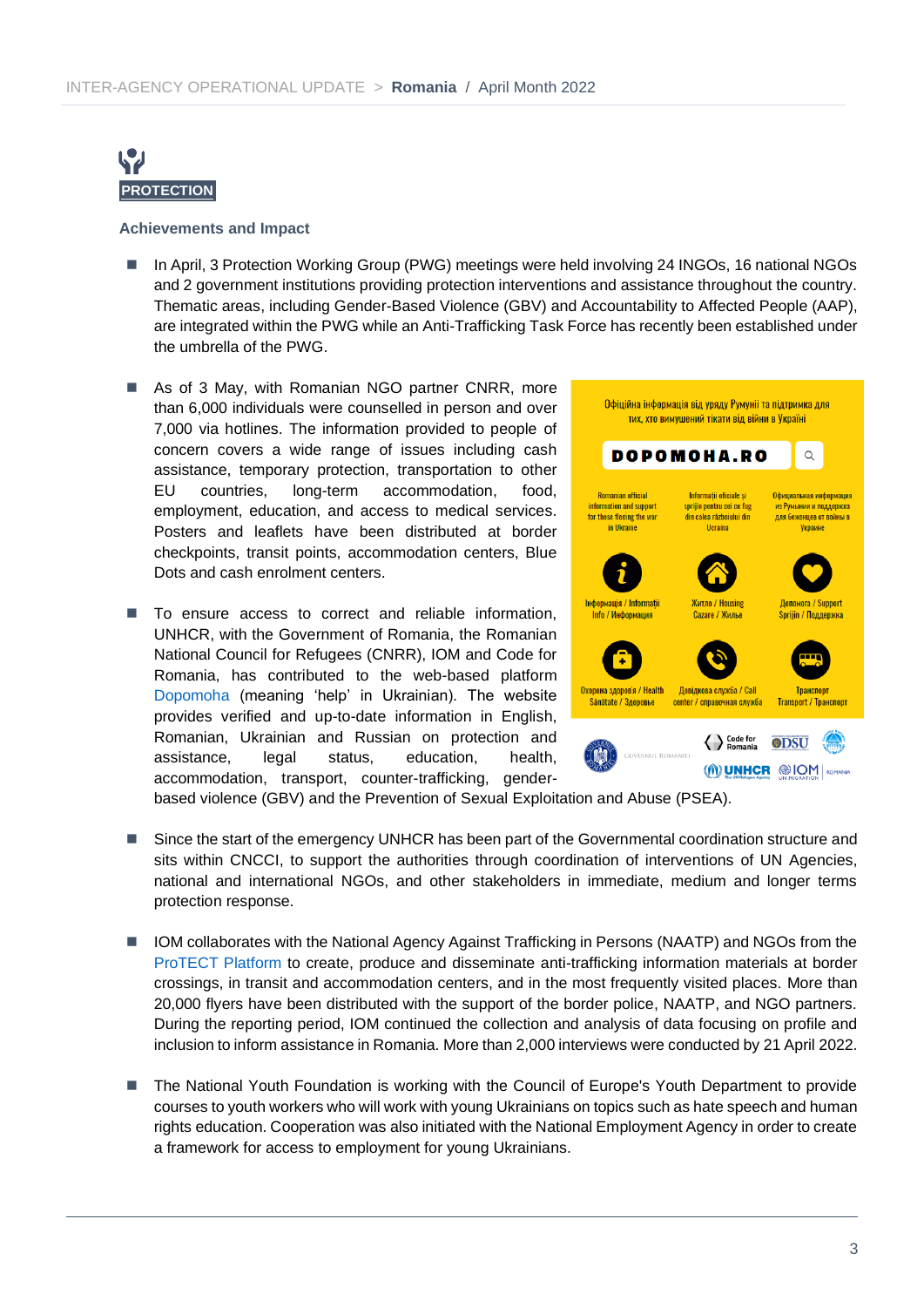

#### **Achievements and Impact**

- In April, 3 Protection Working Group (PWG) meetings were held involving 24 INGOs, 16 national NGOs and 2 government institutions providing protection interventions and assistance throughout the country. Thematic areas, including Gender-Based Violence (GBV) and Accountability to Affected People (AAP), are integrated within the PWG while an Anti-Trafficking Task Force has recently been established under the umbrella of the PWG.
- As of 3 May, with Romanian NGO partner CNRR, more than 6,000 individuals were counselled in person and over 7,000 via hotlines. The information provided to people of concern covers a wide range of issues including cash assistance, temporary protection, transportation to other EU countries, long-term accommodation, food, employment, education, and access to medical services. Posters and leaflets have been distributed at border checkpoints, transit points, accommodation centers, Blue Dots and cash enrolment centers.
- To ensure access to correct and reliable information, UNHCR, with the Government of Romania, the Romanian National Council for Refugees (CNRR), IOM and Code for Romania, has contributed to the web-based platform [Dopomoha](https://dopomoha.ro/ro) (meaning 'help' in Ukrainian). The website provides verified and up-to-date information in English, Romanian, Ukrainian and Russian on protection and assistance, legal status, education, health, accommodation, transport, counter-trafficking, gender-



based violence (GBV) and the Prevention of Sexual Exploitation and Abuse (PSEA).

- Since the start of the emergency UNHCR has been part of the Governmental coordination structure and sits within CNCCI, to support the authorities through coordination of interventions of UN Agencies, national and international NGOs, and other stakeholders in immediate, medium and longer terms protection response.
- IOM collaborates with the National Agency Against Trafficking in Persons (NAATP) and NGOs from the [ProTECT Platform](https://traficdepersoane.ro/) to create, produce and disseminate anti-trafficking information materials at border crossings, in transit and accommodation centers, and in the most frequently visited places. More than 20,000 flyers have been distributed with the support of the border police, NAATP, and NGO partners. During the reporting period, IOM continued the collection and analysis of data focusing on profile and inclusion to inform assistance in Romania. More than 2,000 interviews were conducted by 21 April 2022.
- The National Youth Foundation is working with the Council of Europe's Youth Department to provide courses to youth workers who will work with young Ukrainians on topics such as hate speech and human rights education. Cooperation was also initiated with the National Employment Agency in order to create a framework for access to employment for young Ukrainians.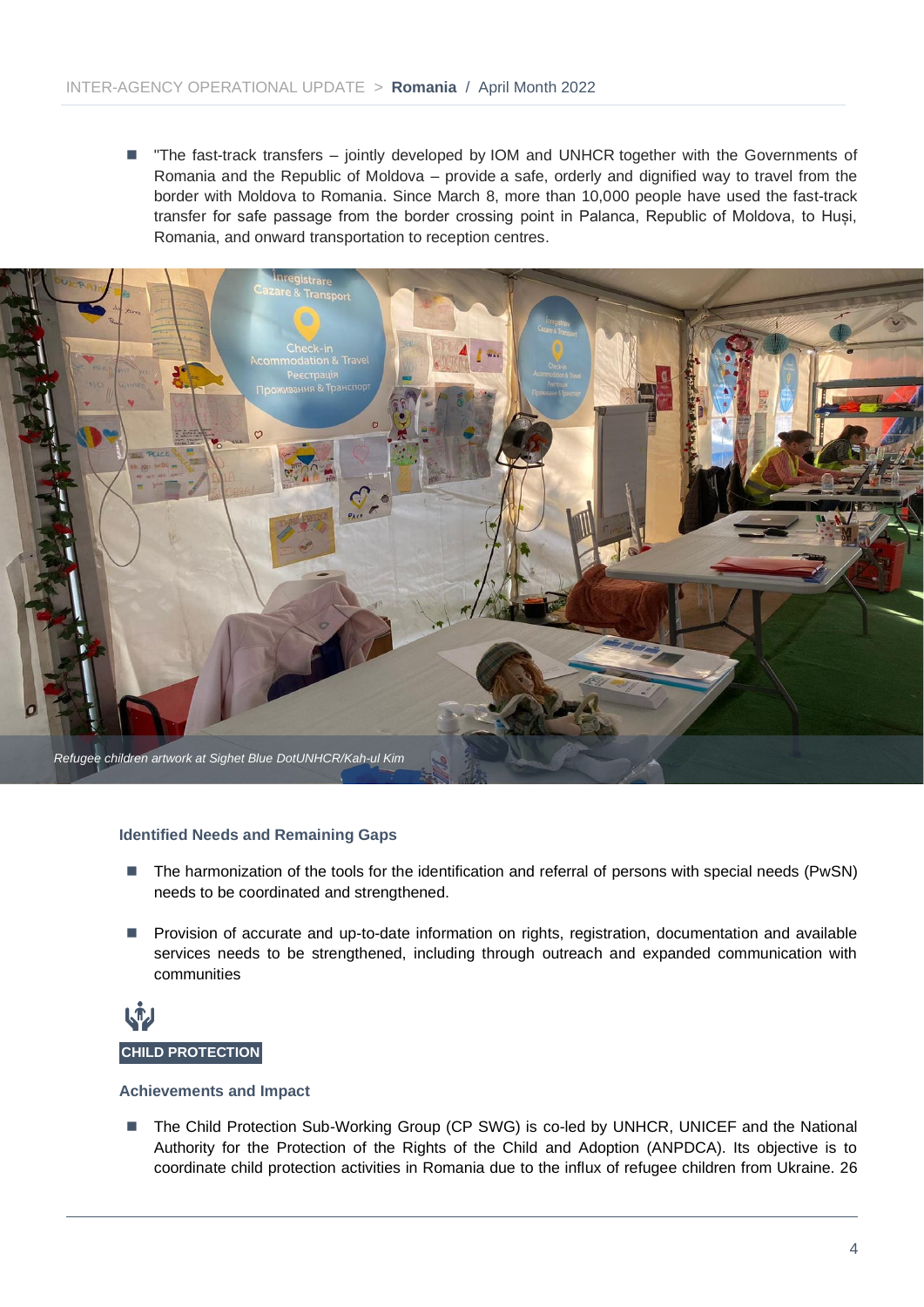■ "The fast-track transfers – jointly developed by IOM and UNHCR together with the Governments of Romania and the Republic of Moldova – provide a safe, orderly and dignified way to travel from the border with Moldova to Romania. Since March 8, more than 10,000 people have used the fast-track transfer for safe passage from the border crossing point in Palanca, Republic of Moldova, to Huși, Romania, and onward transportation to reception centres.



#### **Identified Needs and Remaining Gaps**

- The harmonization of the tools for the identification and referral of persons with special needs (PwSN) needs to be coordinated and strengthened.
- Provision of accurate and up-to-date information on rights, registration, documentation and available services needs to be strengthened, including through outreach and expanded communication with communities



#### **Achievements and Impact**

■ The Child Protection Sub-Working Group (CP SWG) is co-led by UNHCR, UNICEF and the National Authority for the Protection of the Rights of the Child and Adoption (ANPDCA). Its objective is to coordinate child protection activities in Romania due to the influx of refugee children from Ukraine. 26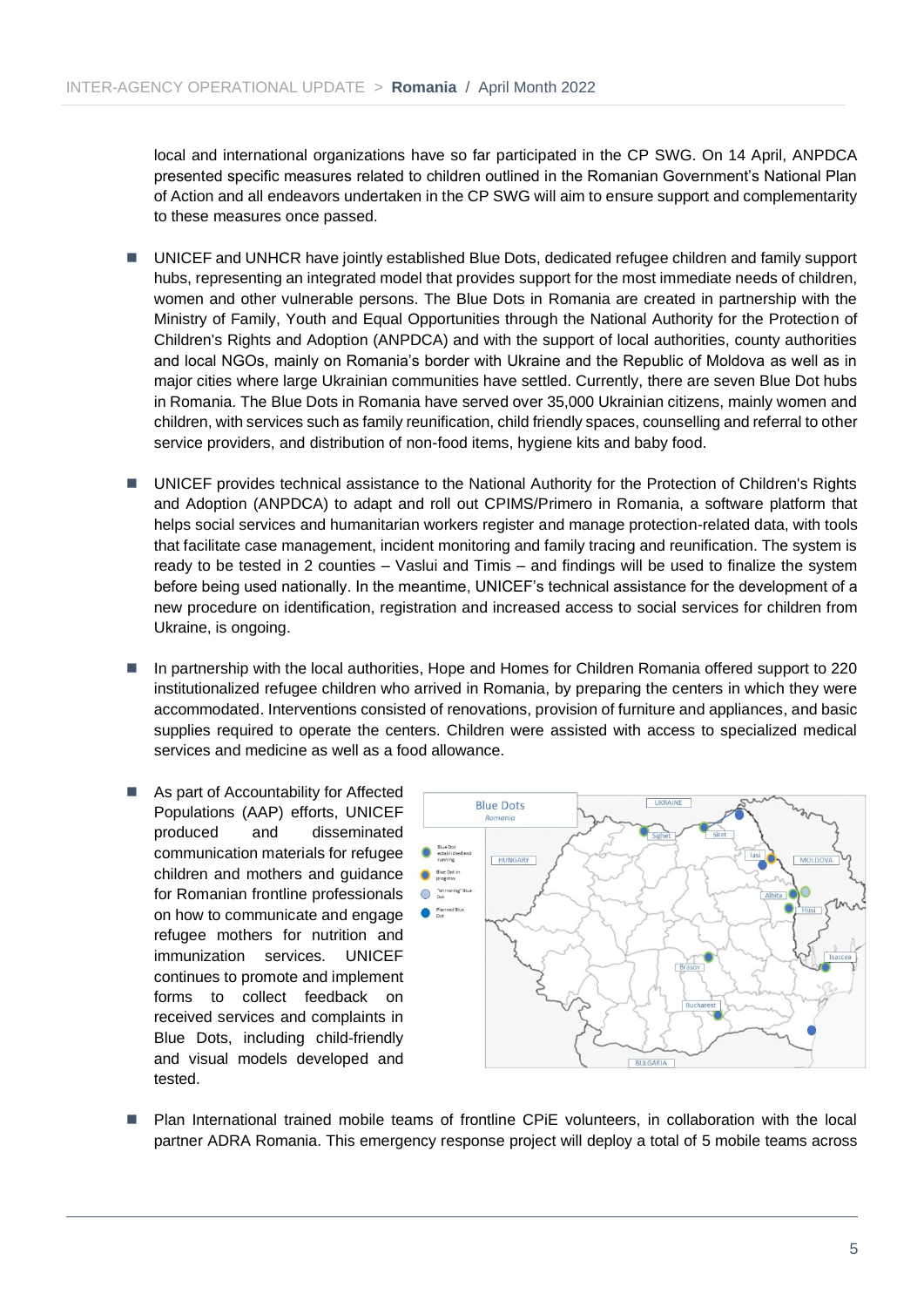local and international organizations have so far participated in the CP SWG. On 14 April, ANPDCA presented specific measures related to children outlined in the Romanian Government's National Plan of Action and all endeavors undertaken in the CP SWG will aim to ensure support and complementarity to these measures once passed.

- UNICEF and UNHCR have jointly established Blue Dots, dedicated refugee children and family support hubs, representing an integrated model that provides support for the most immediate needs of children, women and other vulnerable persons. The Blue Dots in Romania are created in partnership with the Ministry of Family, Youth and Equal Opportunities through the National Authority for the Protection of Children's Rights and Adoption (ANPDCA) and with the support of local authorities, county authorities and local NGOs, mainly on Romania's border with Ukraine and the Republic of Moldova as well as in major cities where large Ukrainian communities have settled. Currently, there are seven Blue Dot hubs in Romania. The Blue Dots in Romania have served over 35,000 Ukrainian citizens, mainly women and children, with services such as family reunification, child friendly spaces, counselling and referral to other service providers, and distribution of non-food items, hygiene kits and baby food.
- ◼ UNICEF provides technical assistance to the National Authority for the Protection of Children's Rights and Adoption (ANPDCA) to adapt and roll out CPIMS/Primero in Romania, a software platform that helps social services and humanitarian workers register and manage protection-related data, with tools that facilitate case management, incident monitoring and family tracing and reunification. The system is ready to be tested in 2 counties – Vaslui and Timis – and findings will be used to finalize the system before being used nationally. In the meantime, UNICEF's technical assistance for the development of a new procedure on identification, registration and increased access to social services for children from Ukraine, is ongoing.
- In partnership with the local authorities, Hope and Homes for Children Romania offered support to 220 institutionalized refugee children who arrived in Romania, by preparing the centers in which they were accommodated. Interventions consisted of renovations, provision of furniture and appliances, and basic supplies required to operate the centers. Children were assisted with access to specialized medical services and medicine as well as a food allowance.
- As part of Accountability for Affected Populations (AAP) efforts, UNICEF produced and disseminated communication materials for refugee children and mothers and guidance for Romanian frontline professionals on how to communicate and engage refugee mothers for nutrition and immunization services. UNICEF continues to promote and implement forms to collect feedback on received services and complaints in Blue Dots, including child-friendly and visual models developed and tested.



Plan International trained mobile teams of frontline CPIE volunteers, in collaboration with the local partner ADRA Romania. This emergency response project will deploy a total of 5 mobile teams across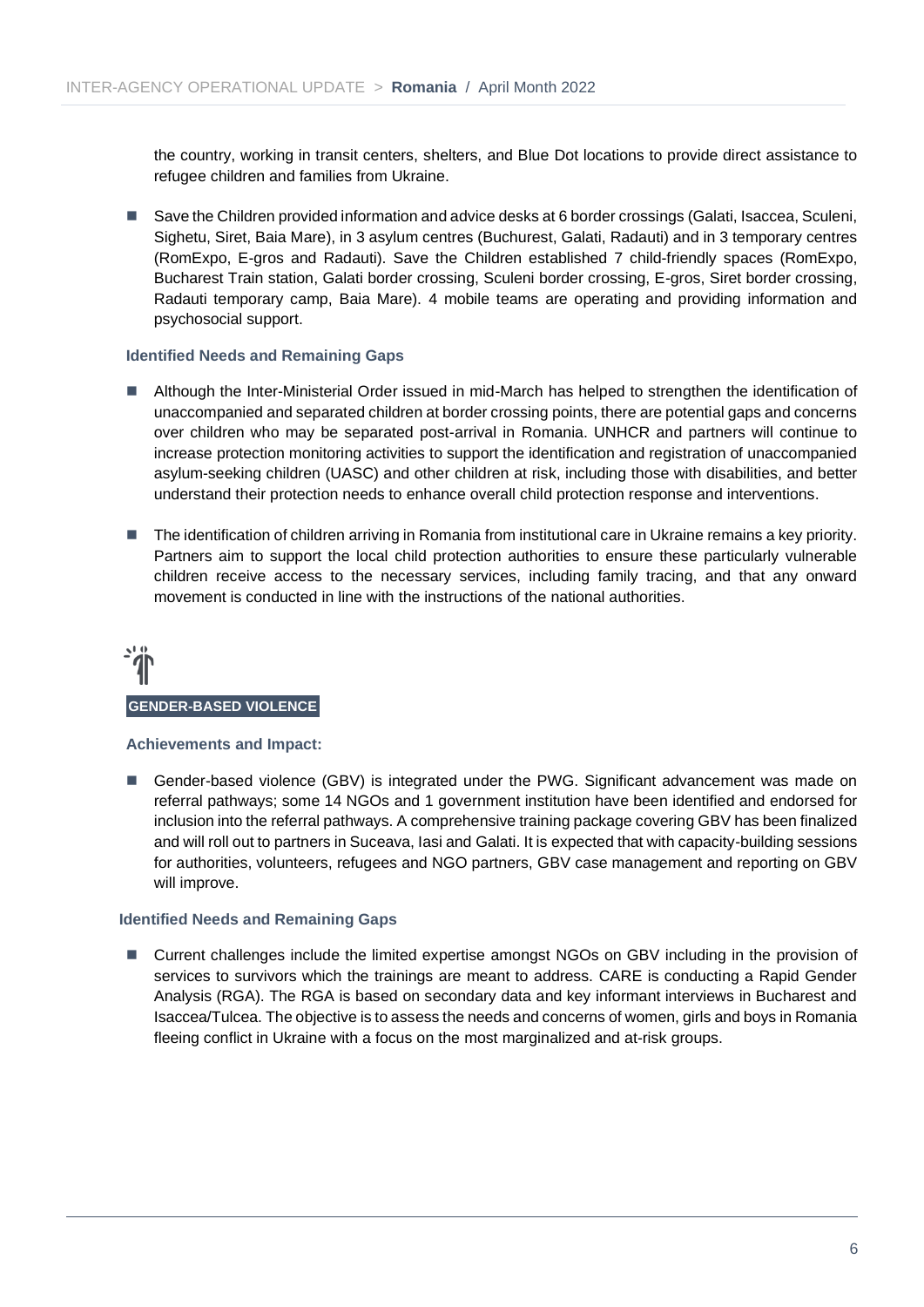the country, working in transit centers, shelters, and Blue Dot locations to provide direct assistance to refugee children and families from Ukraine.

■ Save the Children provided information and advice desks at 6 border crossings (Galati, Isaccea, Sculeni, Sighetu, Siret, Baia Mare), in 3 asylum centres (Buchurest, Galati, Radauti) and in 3 temporary centres (RomExpo, E-gros and Radauti). Save the Children established 7 child-friendly spaces (RomExpo, Bucharest Train station, Galati border crossing, Sculeni border crossing, E-gros, Siret border crossing, Radauti temporary camp, Baia Mare). 4 mobile teams are operating and providing information and psychosocial support.

#### **Identified Needs and Remaining Gaps**

- Although the Inter-Ministerial Order issued in mid-March has helped to strengthen the identification of unaccompanied and separated children at border crossing points, there are potential gaps and concerns over children who may be separated post-arrival in Romania. UNHCR and partners will continue to increase protection monitoring activities to support the identification and registration of unaccompanied asylum-seeking children (UASC) and other children at risk, including those with disabilities, and better understand their protection needs to enhance overall child protection response and interventions.
- The identification of children arriving in Romania from institutional care in Ukraine remains a key priority. Partners aim to support the local child protection authorities to ensure these particularly vulnerable children receive access to the necessary services, including family tracing, and that any onward movement is conducted in line with the instructions of the national authorities.



#### **Achievements and Impact:**

■ Gender-based violence (GBV) is integrated under the PWG. Significant advancement was made on referral pathways; some 14 NGOs and 1 government institution have been identified and endorsed for inclusion into the referral pathways. A comprehensive training package covering GBV has been finalized and will roll out to partners in Suceava, Iasi and Galati. It is expected that with capacity-building sessions for authorities, volunteers, refugees and NGO partners, GBV case management and reporting on GBV will improve.

#### **Identified Needs and Remaining Gaps**

■ Current challenges include the limited expertise amongst NGOs on GBV including in the provision of services to survivors which the trainings are meant to address. CARE is conducting a Rapid Gender Analysis (RGA). The RGA is based on secondary data and key informant interviews in Bucharest and Isaccea/Tulcea. The objective is to assess the needs and concerns of women, girls and boys in Romania fleeing conflict in Ukraine with a focus on the most marginalized and at-risk groups.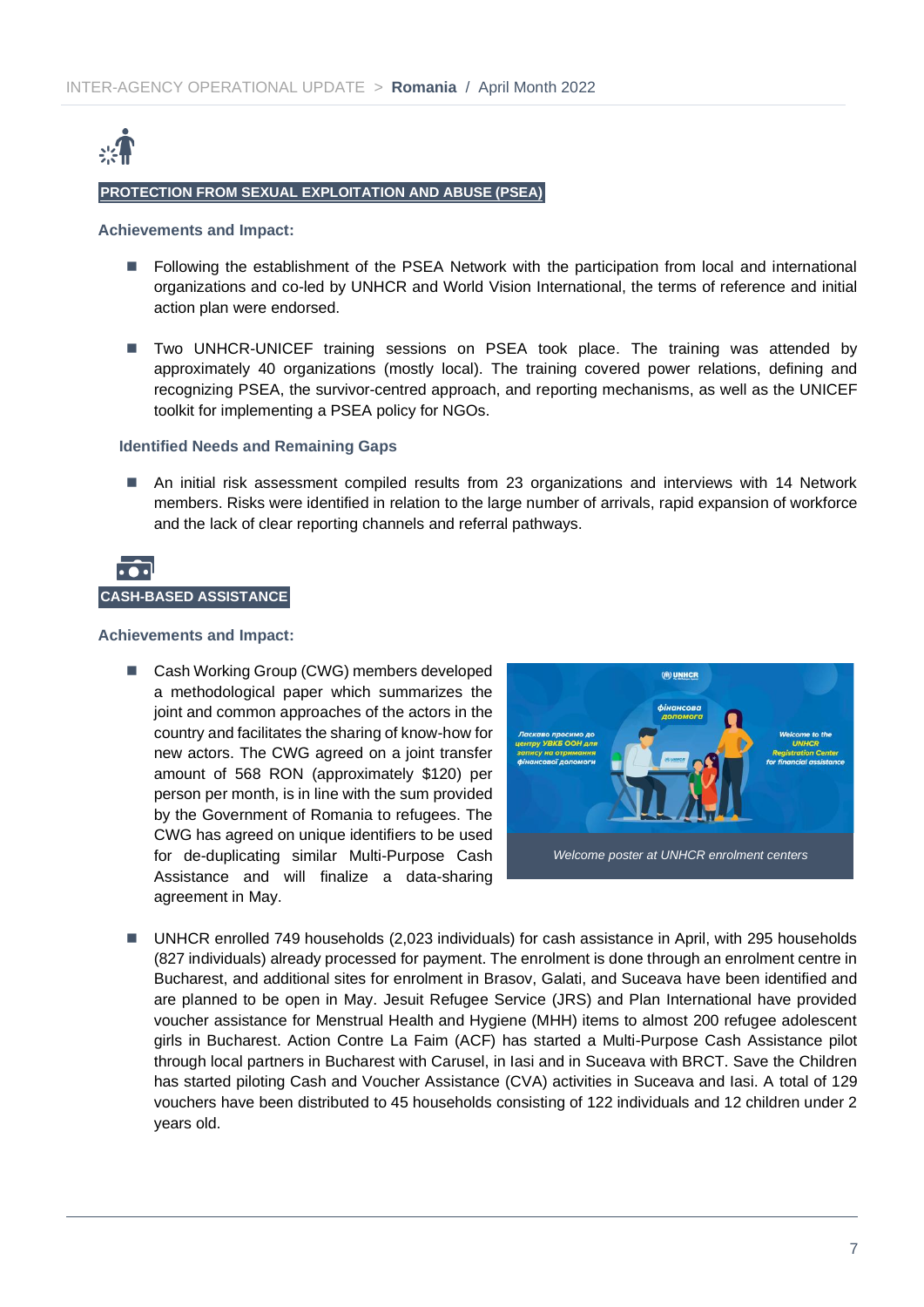

#### **PROTECTION FROM SEXUAL EXPLOITATION AND ABUSE (PSEA)**

#### **Achievements and Impact:**

- Following the establishment of the PSEA Network with the participation from local and international organizations and co-led by UNHCR and World Vision International, the terms of reference and initial action plan were endorsed.
- Two UNHCR-UNICEF training sessions on PSEA took place. The training was attended by approximately 40 organizations (mostly local). The training covered power relations, defining and recognizing PSEA, the survivor-centred approach, and reporting mechanisms, as well as the UNICEF toolkit for implementing a PSEA policy for NGOs.

#### **Identified Needs and Remaining Gaps**

■ An initial risk assessment compiled results from 23 organizations and interviews with 14 Network members. Risks were identified in relation to the large number of arrivals, rapid expansion of workforce and the lack of clear reporting channels and referral pathways.



#### **Achievements and Impact:**

■ Cash Working Group (CWG) members developed a methodological paper which summarizes the joint and common approaches of the actors in the country and facilitates the sharing of know-how for new actors. The CWG agreed on a joint transfer amount of 568 RON (approximately \$120) per person per month, is in line with the sum provided by the Government of Romania to refugees. The CWG has agreed on unique identifiers to be used for de-duplicating similar Multi-Purpose Cash Assistance and will finalize a data-sharing agreement in May.



■ UNHCR enrolled 749 households (2,023 individuals) for cash assistance in April, with 295 households (827 individuals) already processed for payment. The enrolment is done through an enrolment centre in Bucharest, and additional sites for enrolment in Brasov, Galati, and Suceava have been identified and are planned to be open in May. Jesuit Refugee Service (JRS) and Plan International have provided voucher assistance for Menstrual Health and Hygiene (MHH) items to almost 200 refugee adolescent girls in Bucharest. Action Contre La Faim (ACF) has started a Multi-Purpose Cash Assistance pilot through local partners in Bucharest with Carusel, in Iasi and in Suceava with BRCT. Save the Children has started piloting Cash and Voucher Assistance (CVA) activities in Suceava and Iasi. A total of 129 vouchers have been distributed to 45 households consisting of 122 individuals and 12 children under 2 years old.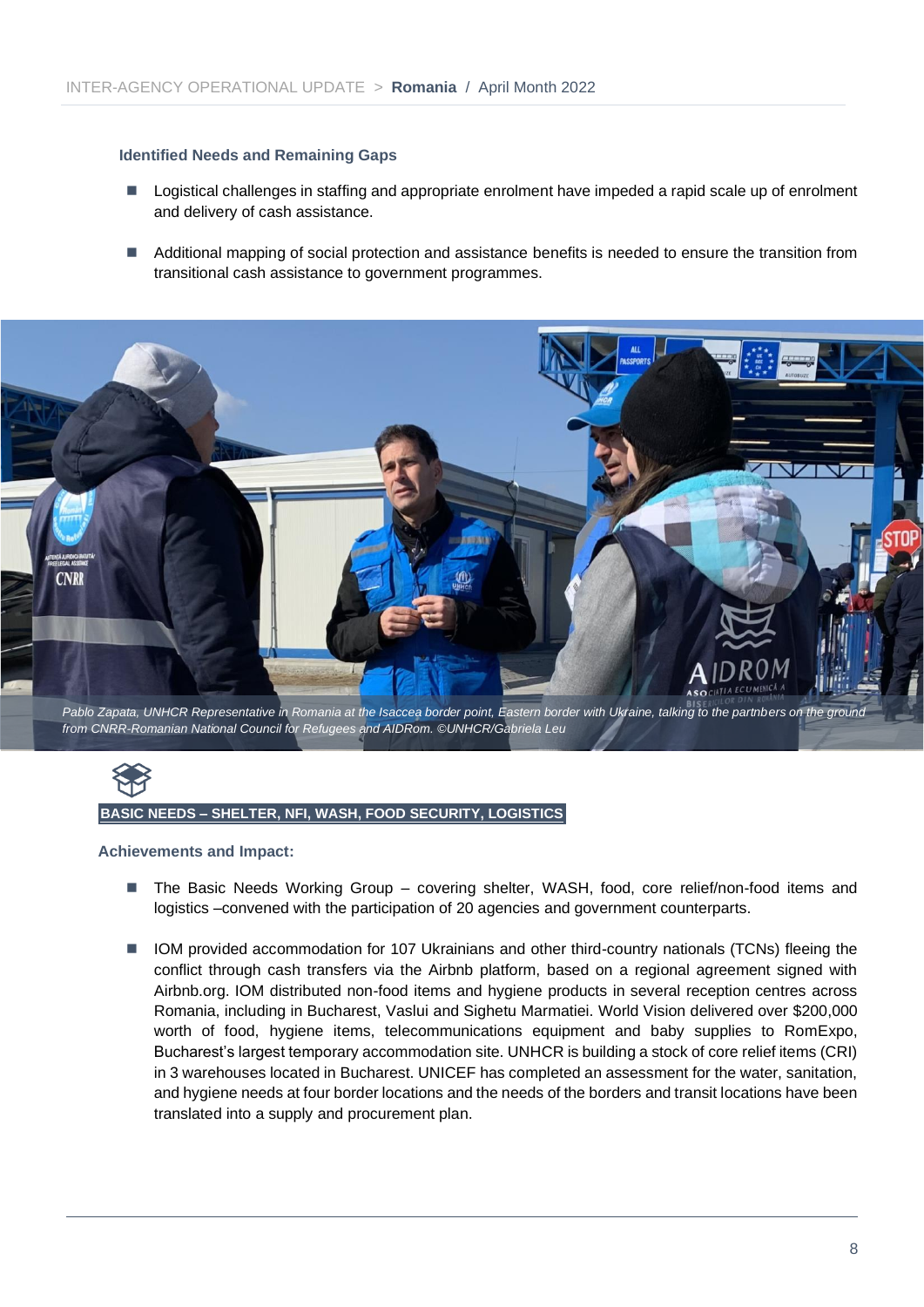#### **Identified Needs and Remaining Gaps**

- Logistical challenges in staffing and appropriate enrolment have impeded a rapid scale up of enrolment and delivery of cash assistance.
- Additional mapping of social protection and assistance benefits is needed to ensure the transition from transitional cash assistance to government programmes.



# **BASIC NEEDS – SHELTER, NFI, WASH, FOOD SECURITY, LOGISTICS**

#### **Achievements and Impact:**

- The Basic Needs Working Group covering shelter, WASH, food, core relief/non-food items and logistics –convened with the participation of 20 agencies and government counterparts.
- IOM provided accommodation for 107 Ukrainians and other third-country nationals (TCNs) fleeing the conflict through cash transfers via the Airbnb platform, based on a regional agreement signed with Airbnb.org. IOM distributed non-food items and hygiene products in several reception centres across Romania, including in Bucharest, Vaslui and Sighetu Marmatiei. World Vision delivered over \$200,000 worth of food, hygiene items, telecommunications equipment and baby supplies to RomExpo, Bucharest's largest temporary accommodation site. UNHCR is building a stock of core relief items (CRI) in 3 warehouses located in Bucharest. UNICEF has completed an assessment for the water, sanitation, and hygiene needs at four border locations and the needs of the borders and transit locations have been translated into a supply and procurement plan.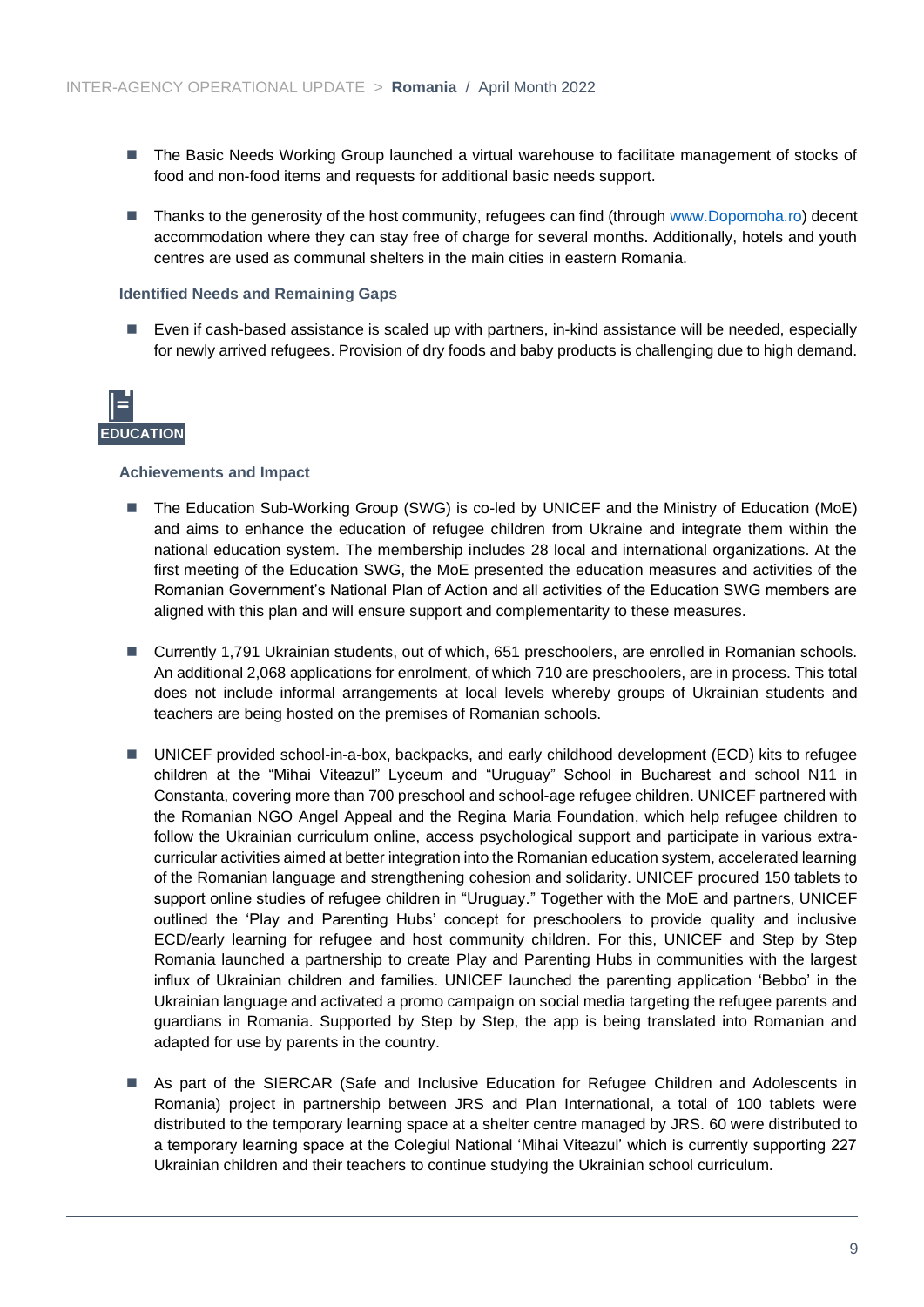- The Basic Needs Working Group launched a virtual warehouse to facilitate management of stocks of food and non-food items and requests for additional basic needs support.
- Thanks to the generosity of the host community, refugees can find (through [www.Dopomoha.ro\)](http://www.dopomoha.ro/) decent accommodation where they can stay free of charge for several months. Additionally, hotels and youth centres are used as communal shelters in the main cities in eastern Romania.

#### **Identified Needs and Remaining Gaps**

■ Even if cash-based assistance is scaled up with partners, in-kind assistance will be needed, especially for newly arrived refugees. Provision of dry foods and baby products is challenging due to high demand.



#### **Achievements and Impact**

- The Education Sub-Working Group (SWG) is co-led by UNICEF and the Ministry of Education (MoE) and aims to enhance the education of refugee children from Ukraine and integrate them within the national education system. The membership includes 28 local and international organizations. At the first meeting of the Education SWG, the MoE presented the education measures and activities of the Romanian Government's National Plan of Action and all activities of the Education SWG members are aligned with this plan and will ensure support and complementarity to these measures.
- Currently 1,791 Ukrainian students, out of which, 651 preschoolers, are enrolled in Romanian schools. An additional 2,068 applications for enrolment, of which 710 are preschoolers, are in process. This total does not include informal arrangements at local levels whereby groups of Ukrainian students and teachers are being hosted on the premises of Romanian schools.
- UNICEF provided school-in-a-box, backpacks, and early childhood development (ECD) kits to refugee children at the "Mihai Viteazul" Lyceum and "Uruguay" School in Bucharest and school N11 in Constanta, covering more than 700 preschool and school-age refugee children. UNICEF partnered with the Romanian NGO Angel Appeal and the Regina Maria Foundation, which help refugee children to follow the Ukrainian curriculum online, access psychological support and participate in various extracurricular activities aimed at better integration into the Romanian education system, accelerated learning of the Romanian language and strengthening cohesion and solidarity. UNICEF procured 150 tablets to support online studies of refugee children in "Uruguay." Together with the MoE and partners, UNICEF outlined the 'Play and Parenting Hubs' concept for preschoolers to provide quality and inclusive ECD/early learning for refugee and host community children. For this, UNICEF and Step by Step Romania launched a partnership to create Play and Parenting Hubs in communities with the largest influx of Ukrainian children and families. UNICEF launched the parenting application 'Bebbo' in the Ukrainian language and activated a promo campaign on social media targeting the refugee parents and guardians in Romania. Supported by Step by Step, the app is being translated into Romanian and adapted for use by parents in the country.
- As part of the SIERCAR (Safe and Inclusive Education for Refugee Children and Adolescents in Romania) project in partnership between JRS and Plan International, a total of 100 tablets were distributed to the temporary learning space at a shelter centre managed by JRS. 60 were distributed to a temporary learning space at the Colegiul National 'Mihai Viteazul' which is currently supporting 227 Ukrainian children and their teachers to continue studying the Ukrainian school curriculum.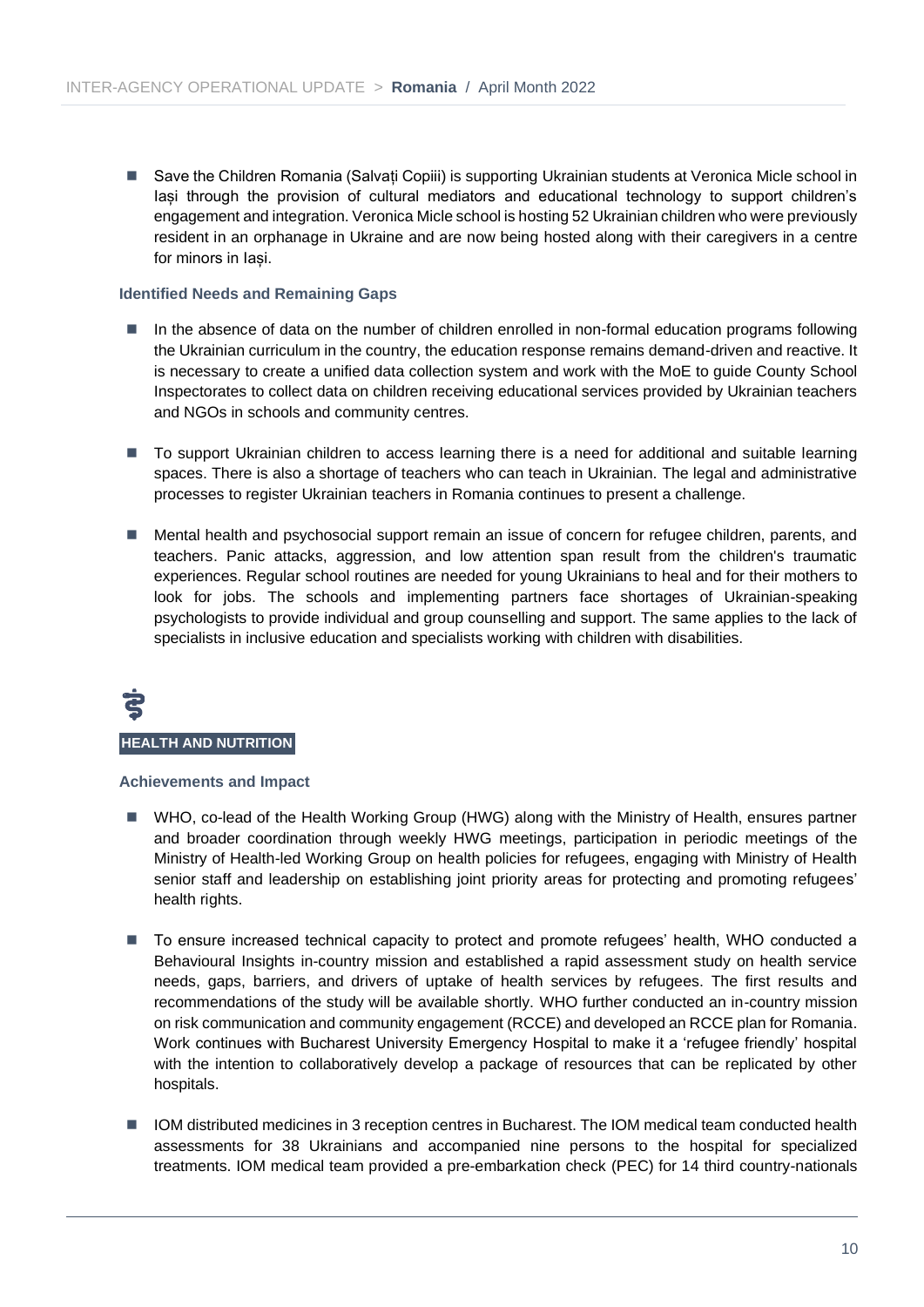■ Save the Children Romania (Salvați Copiii) is supporting Ukrainian students at Veronica Micle school in lasi through the provision of cultural mediators and educational technology to support children's engagement and integration. Veronica Micle school is hosting 52 Ukrainian children who were previously resident in an orphanage in Ukraine and are now being hosted along with their caregivers in a centre for minors in Iași.

#### **Identified Needs and Remaining Gaps**

- In the absence of data on the number of children enrolled in non-formal education programs following the Ukrainian curriculum in the country, the education response remains demand-driven and reactive. It is necessary to create a unified data collection system and work with the MoE to guide County School Inspectorates to collect data on children receiving educational services provided by Ukrainian teachers and NGOs in schools and community centres.
- To support Ukrainian children to access learning there is a need for additional and suitable learning spaces. There is also a shortage of teachers who can teach in Ukrainian. The legal and administrative processes to register Ukrainian teachers in Romania continues to present a challenge.
- Mental health and psychosocial support remain an issue of concern for refugee children, parents, and teachers. Panic attacks, aggression, and low attention span result from the children's traumatic experiences. Regular school routines are needed for young Ukrainians to heal and for their mothers to look for jobs. The schools and implementing partners face shortages of Ukrainian-speaking psychologists to provide individual and group counselling and support. The same applies to the lack of specialists in inclusive education and specialists working with children with disabilities.

# **HEALTH AND NUTRITION**

#### **Achievements and Impact**

- WHO, co-lead of the Health Working Group (HWG) along with the Ministry of Health, ensures partner and broader coordination through weekly HWG meetings, participation in periodic meetings of the Ministry of Health-led Working Group on health policies for refugees, engaging with Ministry of Health senior staff and leadership on establishing joint priority areas for protecting and promoting refugees' health rights.
- To ensure increased technical capacity to protect and promote refugees' health, WHO conducted a Behavioural Insights in-country mission and established a rapid assessment study on health service needs, gaps, barriers, and drivers of uptake of health services by refugees. The first results and recommendations of the study will be available shortly. WHO further conducted an in-country mission on risk communication and community engagement (RCCE) and developed an RCCE plan for Romania. Work continues with Bucharest University Emergency Hospital to make it a 'refugee friendly' hospital with the intention to collaboratively develop a package of resources that can be replicated by other hospitals.
- IOM distributed medicines in 3 reception centres in Bucharest. The IOM medical team conducted health assessments for 38 Ukrainians and accompanied nine persons to the hospital for specialized treatments. IOM medical team provided a pre-embarkation check (PEC) for 14 third country-nationals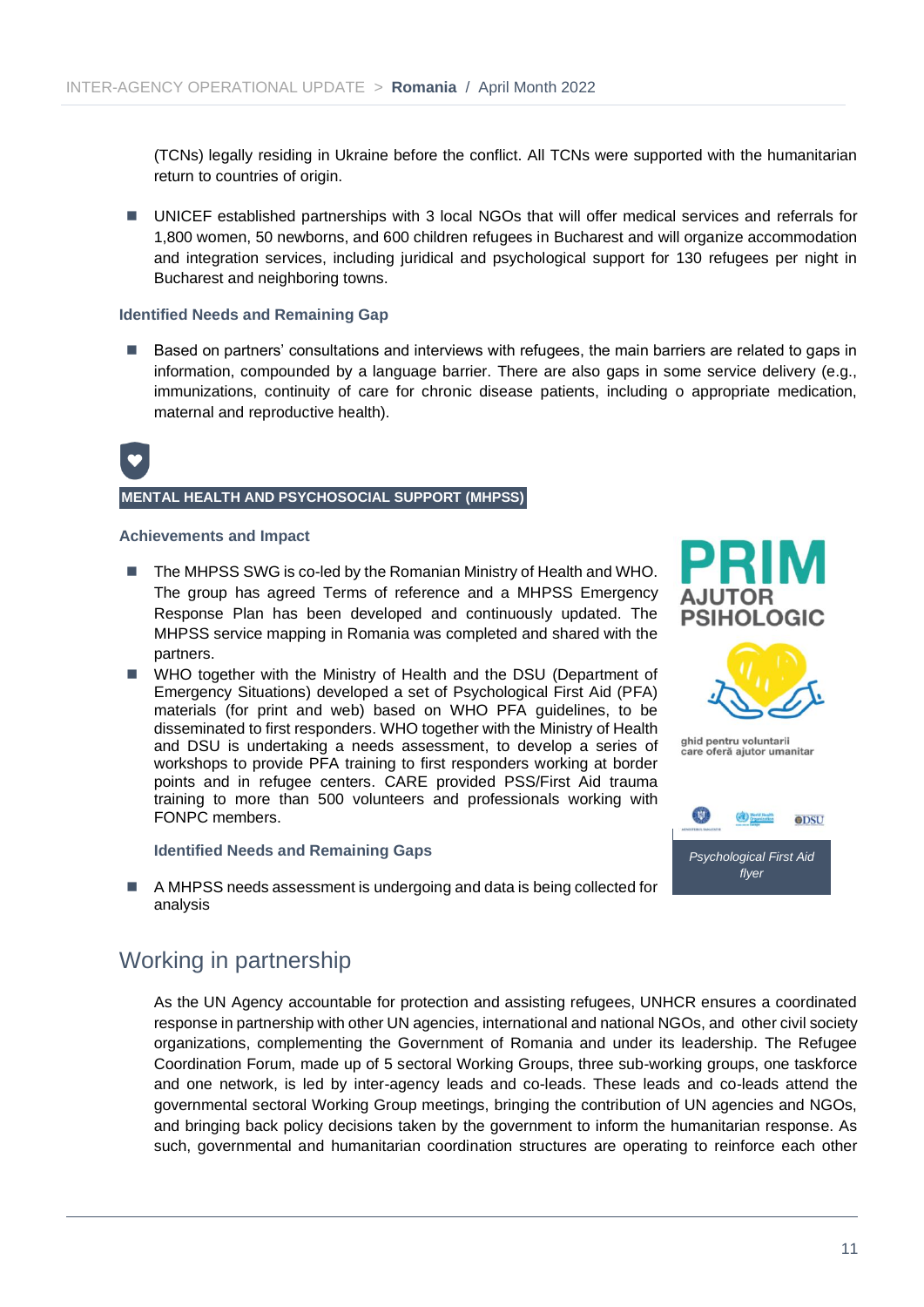(TCNs) legally residing in Ukraine before the conflict. All TCNs were supported with the humanitarian return to countries of origin.

■ UNICEF established partnerships with 3 local NGOs that will offer medical services and referrals for 1,800 women, 50 newborns, and 600 children refugees in Bucharest and will organize accommodation and integration services, including juridical and psychological support for 130 refugees per night in Bucharest and neighboring towns.

#### **Identified Needs and Remaining Gap**

■ Based on partners' consultations and interviews with refugees, the main barriers are related to gaps in information, compounded by a language barrier. There are also gaps in some service delivery (e.g., immunizations, continuity of care for chronic disease patients, including o appropriate medication, maternal and reproductive health).



#### **MENTAL HEALTH AND PSYCHOSOCIAL SUPPORT (MHPSS)**

#### **Achievements and Impact**

- The MHPSS SWG is co-led by the Romanian Ministry of Health and WHO. The group has agreed Terms of reference and a MHPSS Emergency Response Plan has been developed and continuously updated. The MHPSS service mapping in Romania was completed and shared with the partners.
- WHO together with the Ministry of Health and the DSU (Department of Emergency Situations) developed a set of Psychological First Aid (PFA) materials (for print and web) based on WHO PFA guidelines, to be disseminated to first responders. WHO together with the Ministry of Health and DSU is undertaking a needs assessment, to develop a series of workshops to provide PFA training to first responders working at border points and in refugee centers. CARE provided PSS/First Aid trauma training to more than 500 volunteers and professionals working with FONPC members.

#### **Identified Needs and Remaining Gaps**

■ A MHPSS needs assessment is undergoing and data is being collected for analysis

## Working in partnership

As the UN Agency accountable for protection and assisting refugees, UNHCR ensures a coordinated response in partnership with other UN agencies, international and national NGOs, and other civil society organizations, complementing the Government of Romania and under its leadership. The Refugee Coordination Forum, made up of 5 sectoral Working Groups, three sub-working groups, one taskforce and one network, is led by inter-agency leads and co-leads. These leads and co-leads attend the governmental sectoral Working Group meetings, bringing the contribution of UN agencies and NGOs, and bringing back policy decisions taken by the government to inform the humanitarian response. As such, governmental and humanitarian coordination structures are operating to reinforce each other